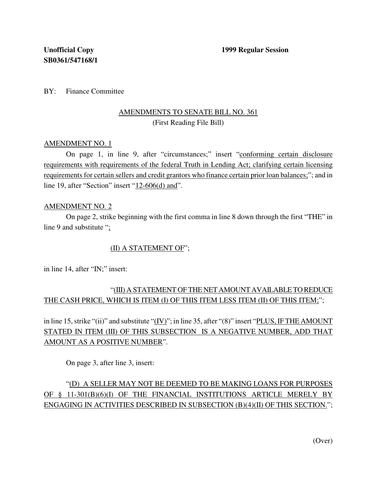BY: Finance Committee

### AMENDMENTS TO SENATE BILL NO. 361 (First Reading File Bill)

#### AMENDMENT NO. 1

On page 1, in line 9, after "circumstances;" insert "conforming certain disclosure requirements with requirements of the federal Truth in Lending Act; clarifying certain licensing requirements for certain sellers and credit grantors who finance certain prior loan balances;"; and in line 19, after "Section" insert "12-606(d) and".

#### AMENDMENT NO. 2

On page 2, strike beginning with the first comma in line 8 down through the first "THE" in line 9 and substitute ";

#### (II) A STATEMENT OF";

in line 14, after "IN;" insert:

## "(III) A STATEMENT OF THE NET AMOUNT AVAILABLETO REDUCE THE CASH PRICE, WHICH IS ITEM (I) OF THIS ITEM LESS ITEM (II) OF THIS ITEM;";

in line 15, strike "(ii)" and substitute " $(IV)$ "; in line 35, after "(8)" insert "PLUS, IF THE AMOUNT STATED IN ITEM (III) OF THIS SUBSECTION IS A NEGATIVE NUMBER, ADD THAT AMOUNT AS A POSITIVE NUMBER".

On page 3, after line 3, insert:

# "(D) A SELLER MAY NOT BE DEEMED TO BE MAKING LOANS FOR PURPOSES OF § 11-301(B)(6)(I) OF THE FINANCIAL INSTITUTIONS ARTICLE MERELY BY ENGAGING IN ACTIVITIES DESCRIBED IN SUBSECTION (B)(4)(II) OF THIS SECTION.";

(Over)